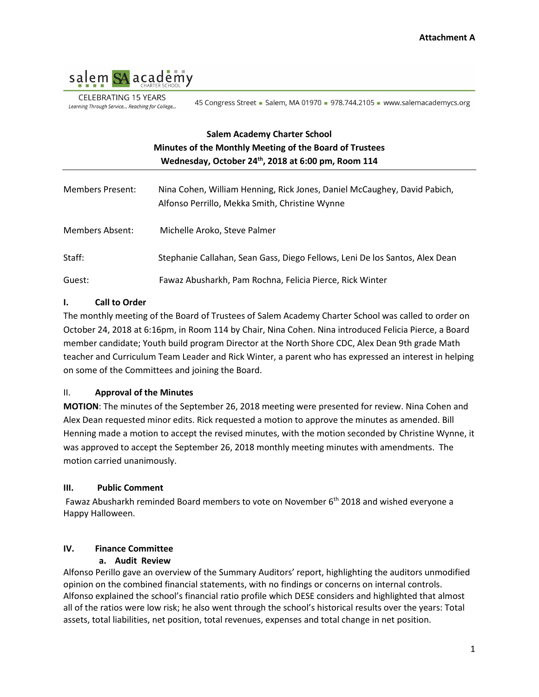

**CELEBRATING 15 YEARS** Learning Through Service... Reaching for College...

45 Congress Street - Salem, MA 01970 - 978.744.2105 - www.salemacademycs.org

# **Salem Academy Charter School Minutes of the Monthly Meeting of the Board of Trustees Wednesday, October 24th, 2018 at 6:00 pm, Room 114**

| <b>Members Present:</b> | Nina Cohen, William Henning, Rick Jones, Daniel McCaughey, David Pabich,<br>Alfonso Perrillo, Mekka Smith, Christine Wynne |
|-------------------------|----------------------------------------------------------------------------------------------------------------------------|
| Members Absent:         | Michelle Aroko, Steve Palmer                                                                                               |
| Staff:                  | Stephanie Callahan, Sean Gass, Diego Fellows, Leni De los Santos, Alex Dean                                                |
| Guest:                  | Fawaz Abusharkh, Pam Rochna, Felicia Pierce, Rick Winter                                                                   |

#### **I. Call to Order**

The monthly meeting of the Board of Trustees of Salem Academy Charter School was called to order on October 24, 2018 at 6:16pm, in Room 114 by Chair, Nina Cohen. Nina introduced Felicia Pierce, a Board member candidate; Youth build program Director at the North Shore CDC, Alex Dean 9th grade Math teacher and Curriculum Team Leader and Rick Winter, a parent who has expressed an interest in helping on some of the Committees and joining the Board.

#### II. **Approval of the Minutes**

**MOTION**: The minutes of the September 26, 2018 meeting were presented for review. Nina Cohen and Alex Dean requested minor edits. Rick requested a motion to approve the minutes as amended. Bill Henning made a motion to accept the revised minutes, with the motion seconded by Christine Wynne, it was approved to accept the September 26, 2018 monthly meeting minutes with amendments. The motion carried unanimously.

#### **III. Public Comment**

Fawaz Abusharkh reminded Board members to vote on November 6<sup>th</sup> 2018 and wished everyone a Happy Halloween.

#### **IV. Finance Committee**

#### **a. Audit Review**

Alfonso Perillo gave an overview of the Summary Auditors' report, highlighting the auditors unmodified opinion on the combined financial statements, with no findings or concerns on internal controls. Alfonso explained the school's financial ratio profile which DESE considers and highlighted that almost all of the ratios were low risk; he also went through the school's historical results over the years: Total assets, total liabilities, net position, total revenues, expenses and total change in net position.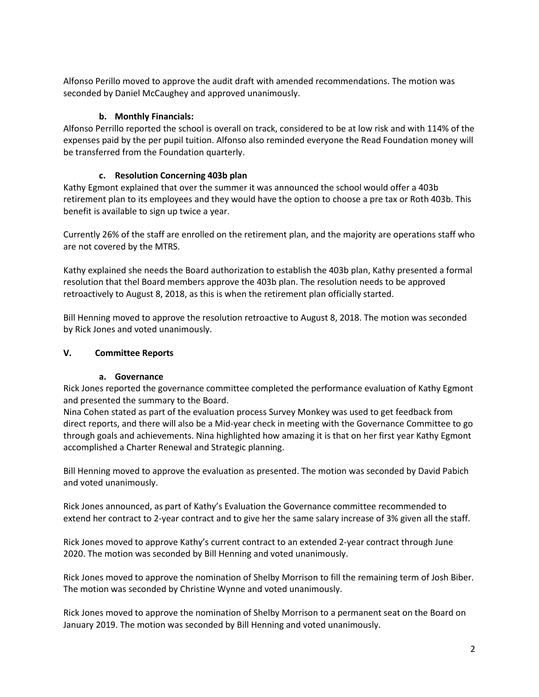Alfonso Perillo moved to approve the audit draft with amended recommendations. The motion was seconded by Daniel McCaughey and approved unanimously.

### **b. Monthly Financials:**

Alfonso Perrillo reported the school is overall on track, considered to be at low risk and with 114% of the expenses paid by the per pupil tuition. Alfonso also reminded everyone the Read Foundation money will be transferred from the Foundation quarterly.

## **c. Resolution Concerning 403b plan**

Kathy Egmont explained that over the summer it was announced the school would offer a 403b retirement plan to its employees and they would have the option to choose a pre tax or Roth 403b. This benefit is available to sign up twice a year.

Currently 26% of the staff are enrolled on the retirement plan, and the majority are operations staff who are not covered by the MTRS.

Kathy explained she needs the Board authorization to establish the 403b plan, Kathy presented a formal resolution that thel Board members approve the 403b plan. The resolution needs to be approved retroactively to August 8, 2018, as this is when the retirement plan officially started.

Bill Henning moved to approve the resolution retroactive to August 8, 2018. The motion was seconded by Rick Jones and voted unanimously.

#### **V. Committee Reports**

#### **a. Governance**

Rick Jones reported the governance committee completed the performance evaluation of Kathy Egmont and presented the summary to the Board.

Nina Cohen stated as part of the evaluation process Survey Monkey was used to get feedback from direct reports, and there will also be a Mid-year check in meeting with the Governance Committee to go through goals and achievements. Nina highlighted how amazing it is that on her first year Kathy Egmont accomplished a Charter Renewal and Strategic planning.

Bill Henning moved to approve the evaluation as presented. The motion was seconded by David Pabich and voted unanimously.

Rick Jones announced, as part of Kathy's Evaluation the Governance committee recommended to extend her contract to 2-year contract and to give her the same salary increase of 3% given all the staff.

Rick Jones moved to approve Kathy's current contract to an extended 2-year contract through June 2020. The motion was seconded by Bill Henning and voted unanimously.

Rick Jones moved to approve the nomination of Shelby Morrison to fill the remaining term of Josh Biber. The motion was seconded by Christine Wynne and voted unanimously.

Rick Jones moved to approve the nomination of Shelby Morrison to a permanent seat on the Board on January 2019. The motion was seconded by Bill Henning and voted unanimously.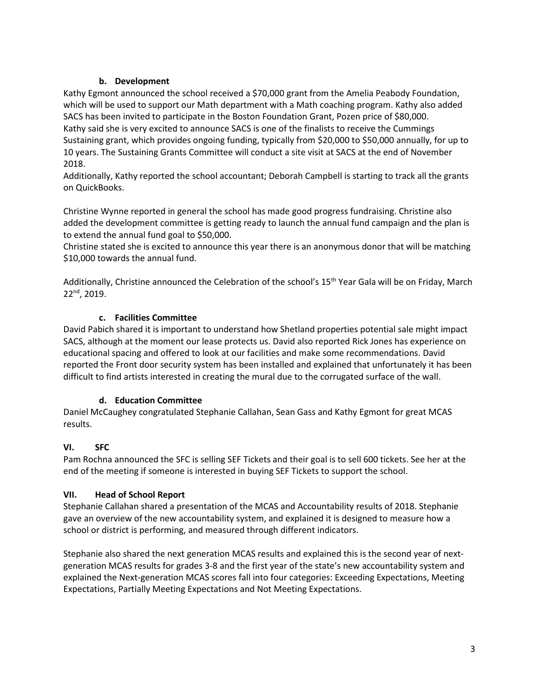### **b. Development**

Kathy Egmont announced the school received a \$70,000 grant from the Amelia Peabody Foundation, which will be used to support our Math department with a Math coaching program. Kathy also added SACS has been invited to participate in the Boston Foundation Grant, Pozen price of \$80,000. Kathy said she is very excited to announce SACS is one of the finalists to receive the Cummings Sustaining grant, which provides ongoing funding, typically from \$20,000 to \$50,000 annually, for up to 10 years. The Sustaining Grants Committee will conduct a site visit at SACS at the end of November 2018.

Additionally, Kathy reported the school accountant; Deborah Campbell is starting to track all the grants on QuickBooks.

Christine Wynne reported in general the school has made good progress fundraising. Christine also added the development committee is getting ready to launch the annual fund campaign and the plan is to extend the annual fund goal to \$50,000.

Christine stated she is excited to announce this year there is an anonymous donor that will be matching \$10,000 towards the annual fund.

Additionally, Christine announced the Celebration of the school's 15<sup>th</sup> Year Gala will be on Friday, March 22nd, 2019.

## **c. Facilities Committee**

David Pabich shared it is important to understand how Shetland properties potential sale might impact SACS, although at the moment our lease protects us. David also reported Rick Jones has experience on educational spacing and offered to look at our facilities and make some recommendations. David reported the Front door security system has been installed and explained that unfortunately it has been difficult to find artists interested in creating the mural due to the corrugated surface of the wall.

#### **d. Education Committee**

Daniel McCaughey congratulated Stephanie Callahan, Sean Gass and Kathy Egmont for great MCAS results.

## **VI. SFC**

Pam Rochna announced the SFC is selling SEF Tickets and their goal is to sell 600 tickets. See her at the end of the meeting if someone is interested in buying SEF Tickets to support the school.

#### **VII. Head of School Report**

Stephanie Callahan shared a presentation of the MCAS and Accountability results of 2018. Stephanie gave an overview of the new accountability system, and explained it is designed to measure how a school or district is performing, and measured through different indicators.

Stephanie also shared the next generation MCAS results and explained this is the second year of nextgeneration MCAS results for grades 3-8 and the first year of the state's new accountability system and explained the Next-generation MCAS scores fall into four categories: Exceeding Expectations, Meeting Expectations, Partially Meeting Expectations and Not Meeting Expectations.